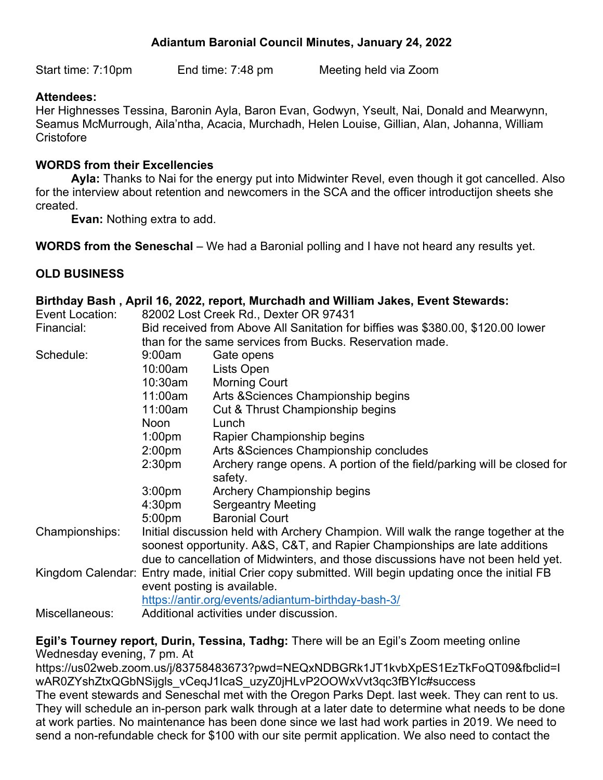# **Adiantum Baronial Council Minutes, January 24, 2022**

Start time: 7:10pm End time: 7:48 pm Meeting held via Zoom

## **Attendees:**

Her Highnesses Tessina, Baronin Ayla, Baron Evan, Godwyn, Yseult, Nai, Donald and Mearwynn, Seamus McMurrough, Aila'ntha, Acacia, Murchadh, Helen Louise, Gillian, Alan, Johanna, William **Cristofore** 

#### **WORDS from their Excellencies**

**Ayla:** Thanks to Nai for the energy put into Midwinter Revel, even though it got cancelled. Also for the interview about retention and newcomers in the SCA and the officer introductijon sheets she created.

**Evan:** Nothing extra to add.

**WORDS from the Seneschal** – We had a Baronial polling and I have not heard any results yet.

# **OLD BUSINESS**

|                 |                                                                                                     | Birthday Bash , April 16, 2022, report, Murchadh and William Jakes, Event Stewards: |
|-----------------|-----------------------------------------------------------------------------------------------------|-------------------------------------------------------------------------------------|
| Event Location: | 82002 Lost Creek Rd., Dexter OR 97431                                                               |                                                                                     |
| Financial:      | Bid received from Above All Sanitation for biffies was \$380.00, \$120.00 lower                     |                                                                                     |
|                 | than for the same services from Bucks. Reservation made.                                            |                                                                                     |
| Schedule:       | 9:00am                                                                                              | Gate opens                                                                          |
|                 | 10:00am                                                                                             | Lists Open                                                                          |
|                 | 10:30am                                                                                             | <b>Morning Court</b>                                                                |
|                 | 11:00am                                                                                             | Arts & Sciences Championship begins                                                 |
|                 | 11:00am                                                                                             | Cut & Thrust Championship begins                                                    |
|                 | <b>Noon</b>                                                                                         | Lunch                                                                               |
|                 | 1:00 <sub>pm</sub>                                                                                  | Rapier Championship begins                                                          |
|                 | 2:00 <sub>pm</sub>                                                                                  | Arts & Sciences Championship concludes                                              |
|                 | 2:30 <sub>pm</sub>                                                                                  | Archery range opens. A portion of the field/parking will be closed for              |
|                 |                                                                                                     | safety.                                                                             |
|                 | 3:00 <sub>pm</sub>                                                                                  | Archery Championship begins                                                         |
|                 | 4:30 <sub>pm</sub>                                                                                  | <b>Sergeantry Meeting</b>                                                           |
|                 | 5:00 <sub>pm</sub>                                                                                  | <b>Baronial Court</b>                                                               |
| Championships:  | Initial discussion held with Archery Champion. Will walk the range together at the                  |                                                                                     |
|                 | soonest opportunity. A&S, C&T, and Rapier Championships are late additions                          |                                                                                     |
|                 | due to cancellation of Midwinters, and those discussions have not been held yet.                    |                                                                                     |
|                 | Kingdom Calendar: Entry made, initial Crier copy submitted. Will begin updating once the initial FB |                                                                                     |
|                 | event posting is available.                                                                         |                                                                                     |
|                 | https://antir.org/events/adiantum-birthday-bash-3/                                                  |                                                                                     |
| Miscellaneous:  | Additional activities under discussion.                                                             |                                                                                     |
|                 |                                                                                                     |                                                                                     |

**Egil's Tourney report, Durin, Tessina, Tadhg:** There will be an Egil's Zoom meeting online Wednesday evening, 7 pm. At

https://us02web.zoom.us/j/83758483673?pwd=NEQxNDBGRk1JT1kvbXpES1EzTkFoQT09&fbclid=I wAR0ZYshZtxQGbNSijgls\_vCeqJ1IcaS\_uzyZ0jHLvP2OOWxVvt3qc3fBYIc#success The event stewards and Seneschal met with the Oregon Parks Dept. last week. They can rent to us. They will schedule an in-person park walk through at a later date to determine what needs to be done at work parties. No maintenance has been done since we last had work parties in 2019. We need to send a non-refundable check for \$100 with our site permit application. We also need to contact the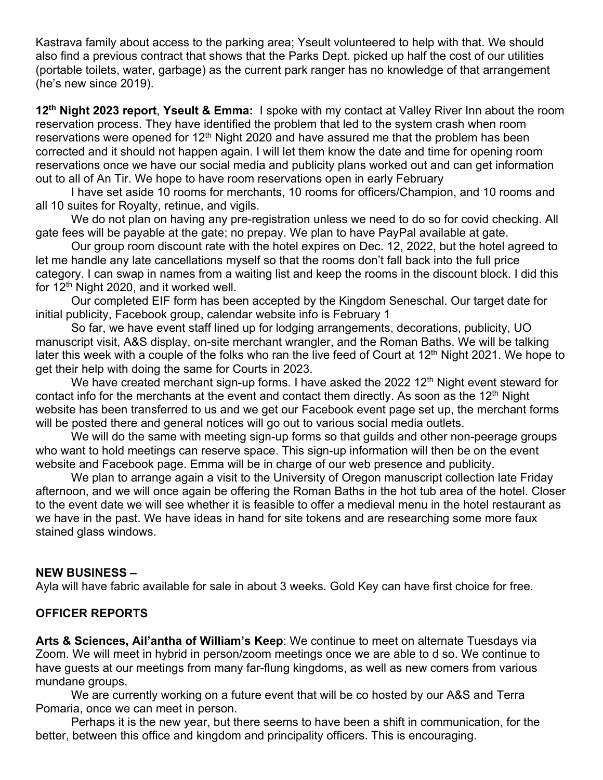Kastrava family about access to the parking area; Yseult volunteered to help with that. We should also find a previous contract that shows that the Parks Dept. picked up half the cost of our utilities (portable toilets, water, garbage) as the current park ranger has no knowledge of that arrangement (he's new since 2019).

**12th Night 2023 report**, **Yseult & Emma:** I spoke with my contact at Valley River Inn about the room reservation process. They have identified the problem that led to the system crash when room reservations were opened for  $12<sup>th</sup>$  Night 2020 and have assured me that the problem has been corrected and it should not happen again. I will let them know the date and time for opening room reservations once we have our social media and publicity plans worked out and can get information out to all of An Tir. We hope to have room reservations open in early February

I have set aside 10 rooms for merchants, 10 rooms for officers/Champion, and 10 rooms and all 10 suites for Royalty, retinue, and vigils.

We do not plan on having any pre-registration unless we need to do so for covid checking. All gate fees will be payable at the gate; no prepay. We plan to have PayPal available at gate.

Our group room discount rate with the hotel expires on Dec. 12, 2022, but the hotel agreed to let me handle any late cancellations myself so that the rooms don't fall back into the full price category. I can swap in names from a waiting list and keep the rooms in the discount block. I did this for 12<sup>th</sup> Night 2020, and it worked well.

Our completed EIF form has been accepted by the Kingdom Seneschal. Our target date for initial publicity, Facebook group, calendar website info is February 1

So far, we have event staff lined up for lodging arrangements, decorations, publicity, UO manuscript visit, A&S display, on-site merchant wrangler, and the Roman Baths. We will be talking later this week with a couple of the folks who ran the live feed of Court at 12<sup>th</sup> Night 2021. We hope to get their help with doing the same for Courts in 2023.

We have created merchant sign-up forms. I have asked the 2022 12<sup>th</sup> Night event steward for contact info for the merchants at the event and contact them directly. As soon as the 12<sup>th</sup> Night website has been transferred to us and we get our Facebook event page set up, the merchant forms will be posted there and general notices will go out to various social media outlets.

We will do the same with meeting sign-up forms so that guilds and other non-peerage groups who want to hold meetings can reserve space. This sign-up information will then be on the event website and Facebook page. Emma will be in charge of our web presence and publicity.

We plan to arrange again a visit to the University of Oregon manuscript collection late Friday afternoon, and we will once again be offering the Roman Baths in the hot tub area of the hotel. Closer to the event date we will see whether it is feasible to offer a medieval menu in the hotel restaurant as we have in the past. We have ideas in hand for site tokens and are researching some more faux stained glass windows.

#### **NEW BUSINESS –**

Ayla will have fabric available for sale in about 3 weeks. Gold Key can have first choice for free.

#### **OFFICER REPORTS**

**Arts & Sciences, Ail'antha of William's Keep**: We continue to meet on alternate Tuesdays via Zoom. We will meet in hybrid in person/zoom meetings once we are able to d so. We continue to have guests at our meetings from many far-flung kingdoms, as well as new comers from various mundane groups.

We are currently working on a future event that will be co hosted by our A&S and Terra Pomaria, once we can meet in person.

Perhaps it is the new year, but there seems to have been a shift in communication, for the better, between this office and kingdom and principality officers. This is encouraging.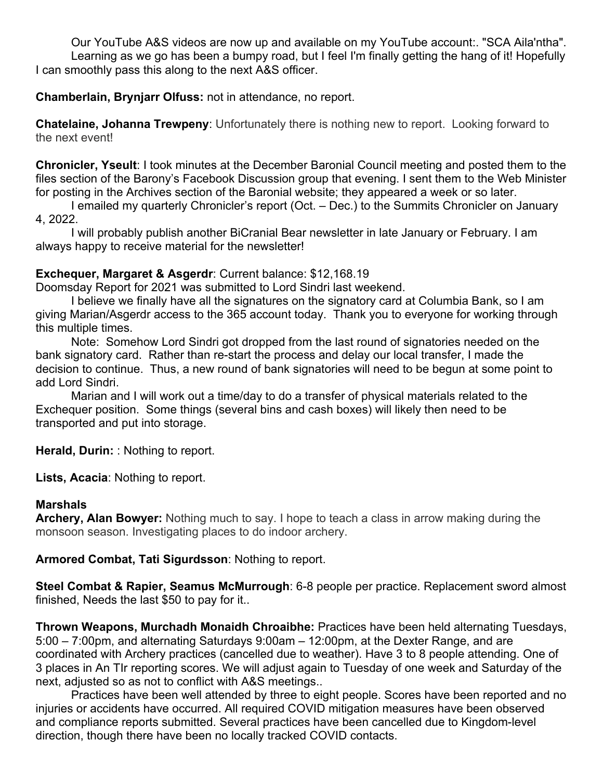Our YouTube A&S videos are now up and available on my YouTube account:. "SCA Aila'ntha". Learning as we go has been a bumpy road, but I feel I'm finally getting the hang of it! Hopefully I can smoothly pass this along to the next A&S officer.

## **Chamberlain, Brynjarr Olfuss:** not in attendance, no report.

**Chatelaine, Johanna Trewpeny**: Unfortunately there is nothing new to report. Looking forward to the next event!

**Chronicler, Yseult**: I took minutes at the December Baronial Council meeting and posted them to the files section of the Barony's Facebook Discussion group that evening. I sent them to the Web Minister for posting in the Archives section of the Baronial website; they appeared a week or so later.

I emailed my quarterly Chronicler's report (Oct. – Dec.) to the Summits Chronicler on January 4, 2022.

I will probably publish another BiCranial Bear newsletter in late January or February. I am always happy to receive material for the newsletter!

# **Exchequer, Margaret & Asgerdr**: Current balance: \$12,168.19

Doomsday Report for 2021 was submitted to Lord Sindri last weekend.

I believe we finally have all the signatures on the signatory card at Columbia Bank, so I am giving Marian/Asgerdr access to the 365 account today. Thank you to everyone for working through this multiple times.

Note: Somehow Lord Sindri got dropped from the last round of signatories needed on the bank signatory card. Rather than re-start the process and delay our local transfer, I made the decision to continue. Thus, a new round of bank signatories will need to be begun at some point to add Lord Sindri.

Marian and I will work out a time/day to do a transfer of physical materials related to the Exchequer position. Some things (several bins and cash boxes) will likely then need to be transported and put into storage.

**Herald, Durin:** : Nothing to report.

**Lists, Acacia**: Nothing to report.

#### **Marshals**

**Archery, Alan Bowyer:** Nothing much to say. I hope to teach a class in arrow making during the monsoon season. Investigating places to do indoor archery.

**Armored Combat, Tati Sigurdsson**: Nothing to report.

**Steel Combat & Rapier, Seamus McMurrough**: 6-8 people per practice. Replacement sword almost finished, Needs the last \$50 to pay for it..

**Thrown Weapons, Murchadh Monaidh Chroaibhe:** Practices have been held alternating Tuesdays, 5:00 – 7:00pm, and alternating Saturdays 9:00am – 12:00pm, at the Dexter Range, and are coordinated with Archery practices (cancelled due to weather). Have 3 to 8 people attending. One of 3 places in An TIr reporting scores. We will adjust again to Tuesday of one week and Saturday of the next, adjusted so as not to conflict with A&S meetings..

Practices have been well attended by three to eight people. Scores have been reported and no injuries or accidents have occurred. All required COVID mitigation measures have been observed and compliance reports submitted. Several practices have been cancelled due to Kingdom-level direction, though there have been no locally tracked COVID contacts.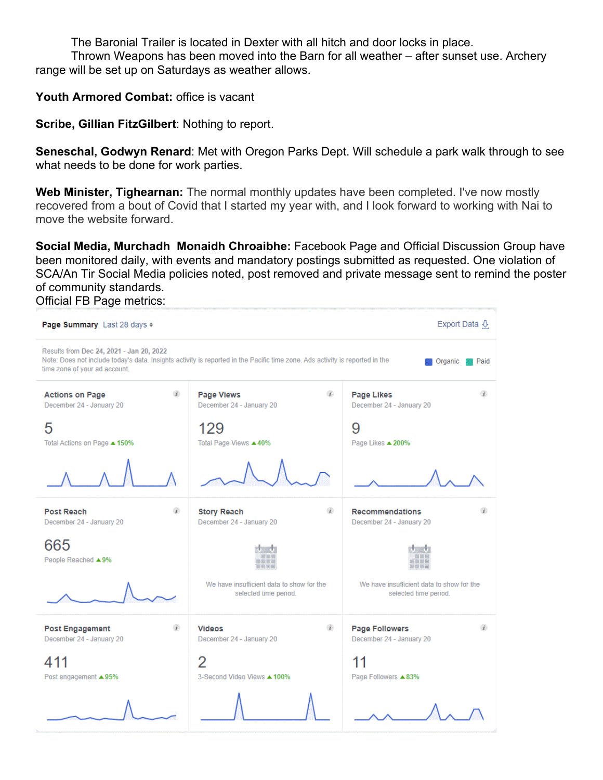The Baronial Trailer is located in Dexter with all hitch and door locks in place.

Thrown Weapons has been moved into the Barn for all weather – after sunset use. Archery range will be set up on Saturdays as weather allows.

**Youth Armored Combat:** office is vacant

**Scribe, Gillian FitzGilbert**: Nothing to report.

**Seneschal, Godwyn Renard**: Met with Oregon Parks Dept. Will schedule a park walk through to see what needs to be done for work parties.

**Web Minister, Tighearnan:** The normal monthly updates have been completed. I've now mostly recovered from a bout of Covid that I started my year with, and I look forward to working with Nai to move the website forward.

**Social Media, Murchadh Monaidh Chroaibhe:** Facebook Page and Official Discussion Group have been monitored daily, with events and mandatory postings submitted as requested. One violation of SCA/An Tir Social Media policies noted, post removed and private message sent to remind the poster of community standards. Official FB Page metrics:

Page Summary Last 28 days  $\div$ Export Data Q Results from Dec 24, 2021 - Jan 20, 2022 Note: Does not include today's data. Insights activity is reported in the Pacific time zone. Ads activity is reported in the **Organic** Paid time zone of your ad account. ٩b **Actions on Page** Ø. **Page Views** ۵ Page Likes December 24 - January 20 December 24 - January 20 December 24 - January 20 5 129 9 Total Actions on Page ▲ 150% Total Page Views ▲ 40% Page Likes  $\triangle 200\%$ G) Ø Ð **Post Reach Story Reach Recommendations** December 24 - January 20 December 24 - January 20 December 24 - January 20 665 People Reached ▲9% We have insufficient data to show for the We have insufficient data to show for the selected time period. selected time period. Ø. Ø) Ø **Post Engagement Videos Page Followers** December 24 - January 20 December 24 - January 20 December 24 - January 20 2 411 11 Post engagement ▲95% 3-Second Video Views ▲ 100% Page Followers  $\triangle 83\%$